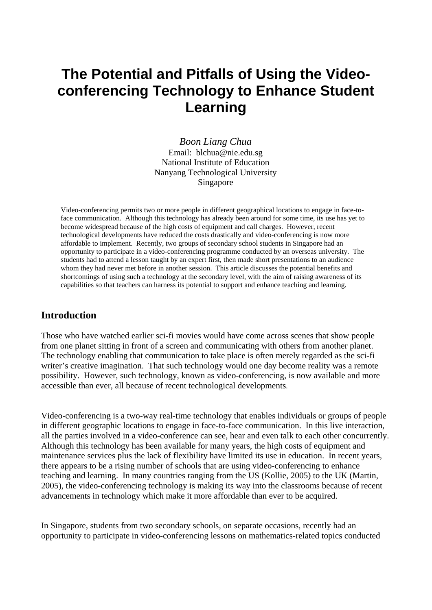# **The Potential and Pitfalls of Using the Videoconferencing Technology to Enhance Student Learning**

*Boon Liang Chua*  Email: blchua@nie.edu.sg National Institute of Education Nanyang Technological University Singapore

Video-conferencing permits two or more people in different geographical locations to engage in face-toface communication. Although this technology has already been around for some time, its use has yet to become widespread because of the high costs of equipment and call charges. However, recent technological developments have reduced the costs drastically and video-conferencing is now more affordable to implement. Recently, two groups of secondary school students in Singapore had an opportunity to participate in a video-conferencing programme conducted by an overseas university. The students had to attend a lesson taught by an expert first, then made short presentations to an audience whom they had never met before in another session. This article discusses the potential benefits and shortcomings of using such a technology at the secondary level, with the aim of raising awareness of its capabilities so that teachers can harness its potential to support and enhance teaching and learning.

## **Introduction**

Those who have watched earlier sci-fi movies would have come across scenes that show people from one planet sitting in front of a screen and communicating with others from another planet. The technology enabling that communication to take place is often merely regarded as the sci-fi writer's creative imagination. That such technology would one day become reality was a remote possibility. However, such technology, known as video-conferencing, is now available and more accessible than ever, all because of recent technological developments.

Video-conferencing is a two-way real-time technology that enables individuals or groups of people in different geographic locations to engage in face-to-face communication. In this live interaction, all the parties involved in a video-conference can see, hear and even talk to each other concurrently. Although this technology has been available for many years, the high costs of equipment and maintenance services plus the lack of flexibility have limited its use in education. In recent years, there appears to be a rising number of schools that are using video-conferencing to enhance teaching and learning. In many countries ranging from the US (Kollie, 2005) to the UK (Martin, 2005), the video-conferencing technology is making its way into the classrooms because of recent advancements in technology which make it more affordable than ever to be acquired.

In Singapore, students from two secondary schools, on separate occasions, recently had an opportunity to participate in video-conferencing lessons on mathematics-related topics conducted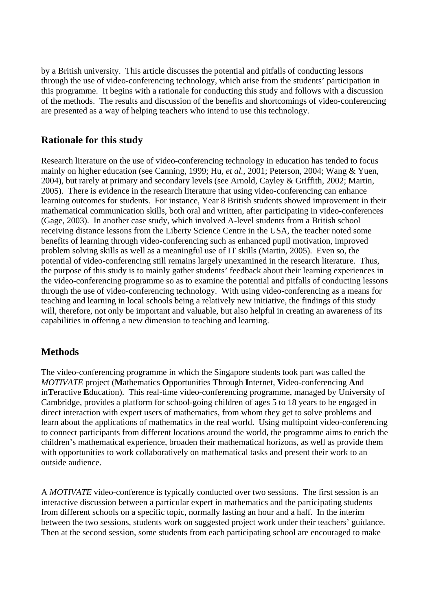by a British university. This article discusses the potential and pitfalls of conducting lessons through the use of video-conferencing technology, which arise from the students' participation in this programme. It begins with a rationale for conducting this study and follows with a discussion of the methods. The results and discussion of the benefits and shortcomings of video-conferencing are presented as a way of helping teachers who intend to use this technology.

## **Rationale for this study**

Research literature on the use of video-conferencing technology in education has tended to focus mainly on higher education (see Canning, 1999; Hu, *et al.*, 2001; Peterson, 2004; Wang & Yuen, 2004), but rarely at primary and secondary levels (see Arnold, Cayley & Griffith, 2002; Martin, 2005). There is evidence in the research literature that using video-conferencing can enhance learning outcomes for students. For instance, Year 8 British students showed improvement in their mathematical communication skills, both oral and written, after participating in video-conferences (Gage, 2003). In another case study, which involved A-level students from a British school receiving distance lessons from the Liberty Science Centre in the USA, the teacher noted some benefits of learning through video-conferencing such as enhanced pupil motivation, improved problem solving skills as well as a meaningful use of IT skills (Martin, 2005). Even so, the potential of video-conferencing still remains largely unexamined in the research literature. Thus, the purpose of this study is to mainly gather students' feedback about their learning experiences in the video-conferencing programme so as to examine the potential and pitfalls of conducting lessons through the use of video-conferencing technology. With using video-conferencing as a means for teaching and learning in local schools being a relatively new initiative, the findings of this study will, therefore, not only be important and valuable, but also helpful in creating an awareness of its capabilities in offering a new dimension to teaching and learning.

# **Methods**

The video-conferencing programme in which the Singapore students took part was called the *MOTIVATE* project (**M**athematics **O**pportunities **T**hrough **I**nternet, **V**ideo-conferencing **A**nd in**T**eractive **E**ducation). This real-time video-conferencing programme, managed by University of Cambridge, provides a platform for school-going children of ages 5 to 18 years to be engaged in direct interaction with expert users of mathematics, from whom they get to solve problems and learn about the applications of mathematics in the real world. Using multipoint video-conferencing to connect participants from different locations around the world, the programme aims to enrich the children's mathematical experience, broaden their mathematical horizons, as well as provide them with opportunities to work collaboratively on mathematical tasks and present their work to an outside audience.

A *MOTIVATE* video-conference is typically conducted over two sessions. The first session is an interactive discussion between a particular expert in mathematics and the participating students from different schools on a specific topic, normally lasting an hour and a half. In the interim between the two sessions, students work on suggested project work under their teachers' guidance. Then at the second session, some students from each participating school are encouraged to make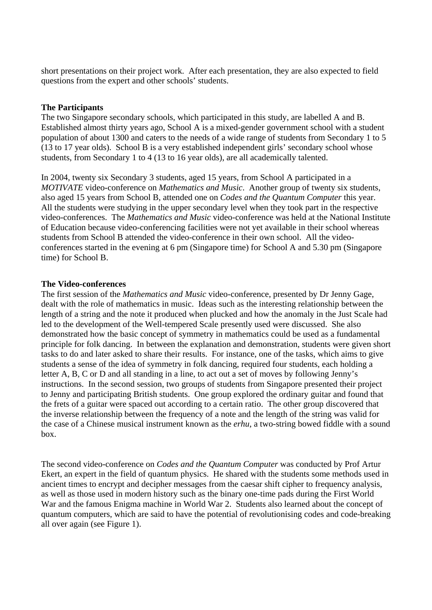short presentations on their project work. After each presentation, they are also expected to field questions from the expert and other schools' students.

#### **The Participants**

The two Singapore secondary schools, which participated in this study, are labelled A and B. Established almost thirty years ago, School A is a mixed-gender government school with a student population of about 1300 and caters to the needs of a wide range of students from Secondary 1 to 5 (13 to 17 year olds). School B is a very established independent girls' secondary school whose students, from Secondary 1 to 4 (13 to 16 year olds), are all academically talented.

In 2004, twenty six Secondary 3 students, aged 15 years, from School A participated in a *MOTIVATE* video-conference on *Mathematics and Music*. Another group of twenty six students, also aged 15 years from School B, attended one on *Codes and the Quantum Computer* this year. All the students were studying in the upper secondary level when they took part in the respective video-conferences. The *Mathematics and Music* video-conference was held at the National Institute of Education because video-conferencing facilities were not yet available in their school whereas students from School B attended the video-conference in their own school. All the videoconferences started in the evening at 6 pm (Singapore time) for School A and 5.30 pm (Singapore time) for School B.

#### **The Video-conferences**

The first session of the *Mathematics and Music* video-conference, presented by Dr Jenny Gage, dealt with the role of mathematics in music. Ideas such as the interesting relationship between the length of a string and the note it produced when plucked and how the anomaly in the Just Scale had led to the development of the Well-tempered Scale presently used were discussed. She also demonstrated how the basic concept of symmetry in mathematics could be used as a fundamental principle for folk dancing. In between the explanation and demonstration, students were given short tasks to do and later asked to share their results. For instance, one of the tasks, which aims to give students a sense of the idea of symmetry in folk dancing, required four students, each holding a letter A, B, C or D and all standing in a line, to act out a set of moves by following Jenny's instructions. In the second session, two groups of students from Singapore presented their project to Jenny and participating British students. One group explored the ordinary guitar and found that the frets of a guitar were spaced out according to a certain ratio. The other group discovered that the inverse relationship between the frequency of a note and the length of the string was valid for the case of a Chinese musical instrument known as the *erhu*, a two-string bowed fiddle with a sound box.

The second video-conference on *Codes and the Quantum Computer* was conducted by Prof Artur Ekert, an expert in the field of quantum physics. He shared with the students some methods used in ancient times to encrypt and decipher messages from the caesar shift cipher to frequency analysis, as well as those used in modern history such as the binary one-time pads during the First World War and the famous Enigma machine in World War 2. Students also learned about the concept of quantum computers, which are said to have the potential of revolutionising codes and code-breaking all over again (see Figure 1).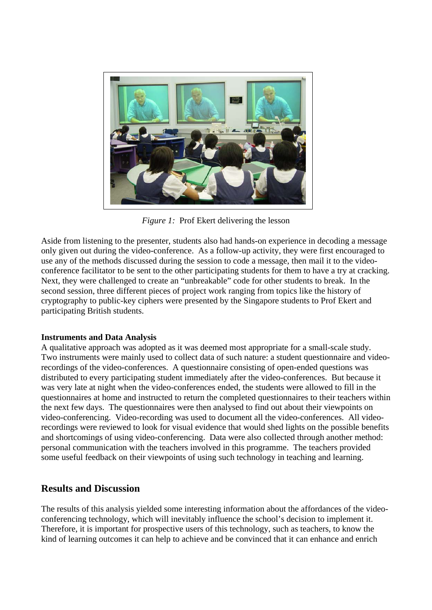

*Figure 1:* Prof Ekert delivering the lesson

Aside from listening to the presenter, students also had hands-on experience in decoding a message only given out during the video-conference. As a follow-up activity, they were first encouraged to use any of the methods discussed during the session to code a message, then mail it to the videoconference facilitator to be sent to the other participating students for them to have a try at cracking. Next, they were challenged to create an "unbreakable" code for other students to break. In the second session, three different pieces of project work ranging from topics like the history of cryptography to public-key ciphers were presented by the Singapore students to Prof Ekert and participating British students.

#### **Instruments and Data Analysis**

A qualitative approach was adopted as it was deemed most appropriate for a small-scale study. Two instruments were mainly used to collect data of such nature: a student questionnaire and videorecordings of the video-conferences. A questionnaire consisting of open-ended questions was distributed to every participating student immediately after the video-conferences. But because it was very late at night when the video-conferences ended, the students were allowed to fill in the questionnaires at home and instructed to return the completed questionnaires to their teachers within the next few days. The questionnaires were then analysed to find out about their viewpoints on video-conferencing. Video-recording was used to document all the video-conferences. All videorecordings were reviewed to look for visual evidence that would shed lights on the possible benefits and shortcomings of using video-conferencing. Data were also collected through another method: personal communication with the teachers involved in this programme. The teachers provided some useful feedback on their viewpoints of using such technology in teaching and learning.

## **Results and Discussion**

The results of this analysis yielded some interesting information about the affordances of the videoconferencing technology, which will inevitably influence the school's decision to implement it. Therefore, it is important for prospective users of this technology, such as teachers, to know the kind of learning outcomes it can help to achieve and be convinced that it can enhance and enrich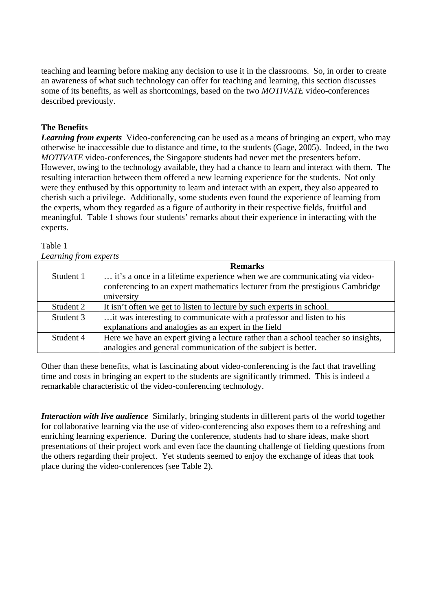teaching and learning before making any decision to use it in the classrooms. So, in order to create an awareness of what such technology can offer for teaching and learning, this section discusses some of its benefits, as well as shortcomings, based on the two *MOTIVATE* video-conferences described previously.

## **The Benefits**

*Learning from experts* Video-conferencing can be used as a means of bringing an expert, who may otherwise be inaccessible due to distance and time, to the students (Gage, 2005). Indeed, in the two *MOTIVATE* video-conferences, the Singapore students had never met the presenters before. However, owing to the technology available, they had a chance to learn and interact with them. The resulting interaction between them offered a new learning experience for the students. Not only were they enthused by this opportunity to learn and interact with an expert, they also appeared to cherish such a privilege. Additionally, some students even found the experience of learning from the experts, whom they regarded as a figure of authority in their respective fields, fruitful and meaningful. Table 1 shows four students' remarks about their experience in interacting with the experts.

#### Table 1 *Learning from experts*

|           | <b>Remarks</b>                                                                                                                                             |
|-----------|------------------------------------------------------------------------------------------------------------------------------------------------------------|
| Student 1 | it's a once in a lifetime experience when we are communicating via video-<br>conferencing to an expert mathematics lecturer from the prestigious Cambridge |
|           | university                                                                                                                                                 |
| Student 2 | It isn't often we get to listen to lecture by such experts in school.                                                                                      |
| Student 3 | it was interesting to communicate with a professor and listen to his                                                                                       |
|           | explanations and analogies as an expert in the field                                                                                                       |
| Student 4 | Here we have an expert giving a lecture rather than a school teacher so insights,                                                                          |
|           | analogies and general communication of the subject is better.                                                                                              |

Other than these benefits, what is fascinating about video-conferencing is the fact that travelling time and costs in bringing an expert to the students are significantly trimmed. This is indeed a remarkable characteristic of the video-conferencing technology.

*Interaction with live audience* Similarly, bringing students in different parts of the world together for collaborative learning via the use of video-conferencing also exposes them to a refreshing and enriching learning experience. During the conference, students had to share ideas, make short presentations of their project work and even face the daunting challenge of fielding questions from the others regarding their project. Yet students seemed to enjoy the exchange of ideas that took place during the video-conferences (see Table 2).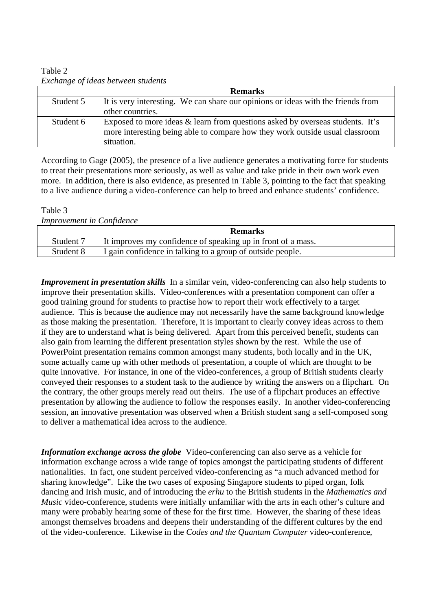Table 2 *Exchange of ideas between students* 

|           | <b>Remarks</b>                                                                   |
|-----------|----------------------------------------------------------------------------------|
| Student 5 | It is very interesting. We can share our opinions or ideas with the friends from |
|           | other countries.                                                                 |
| Student 6 | Exposed to more ideas & learn from questions asked by overseas students. It's    |
|           | more interesting being able to compare how they work outside usual classroom     |
|           | situation.                                                                       |

According to Gage (2005), the presence of a live audience generates a motivating force for students to treat their presentations more seriously, as well as value and take pride in their own work even more. In addition, there is also evidence, as presented in Table 3, pointing to the fact that speaking to a live audience during a video-conference can help to breed and enhance students' confidence.

#### Table 3

*Improvement in Confidence* 

|           | <b>Remarks</b>                                               |
|-----------|--------------------------------------------------------------|
| Student 7 | It improves my confidence of speaking up in front of a mass. |
| Student 8 | I gain confidence in talking to a group of outside people.   |

*Improvement in presentation skills* In a similar vein, video-conferencing can also help students to improve their presentation skills. Video-conferences with a presentation component can offer a good training ground for students to practise how to report their work effectively to a target audience. This is because the audience may not necessarily have the same background knowledge as those making the presentation. Therefore, it is important to clearly convey ideas across to them if they are to understand what is being delivered. Apart from this perceived benefit, students can also gain from learning the different presentation styles shown by the rest. While the use of PowerPoint presentation remains common amongst many students, both locally and in the UK, some actually came up with other methods of presentation, a couple of which are thought to be quite innovative. For instance, in one of the video-conferences, a group of British students clearly conveyed their responses to a student task to the audience by writing the answers on a flipchart. On the contrary, the other groups merely read out theirs. The use of a flipchart produces an effective presentation by allowing the audience to follow the responses easily. In another video-conferencing session, an innovative presentation was observed when a British student sang a self-composed song to deliver a mathematical idea across to the audience.

*Information exchange across the globe* Video-conferencing can also serve as a vehicle for information exchange across a wide range of topics amongst the participating students of different nationalities. In fact, one student perceived video-conferencing as "a much advanced method for sharing knowledge". Like the two cases of exposing Singapore students to piped organ, folk dancing and Irish music, and of introducing the *erhu* to the British students in the *Mathematics and Music* video-conference, students were initially unfamiliar with the arts in each other's culture and many were probably hearing some of these for the first time. However, the sharing of these ideas amongst themselves broadens and deepens their understanding of the different cultures by the end of the video-conference. Likewise in the *Codes and the Quantum Computer* video-conference,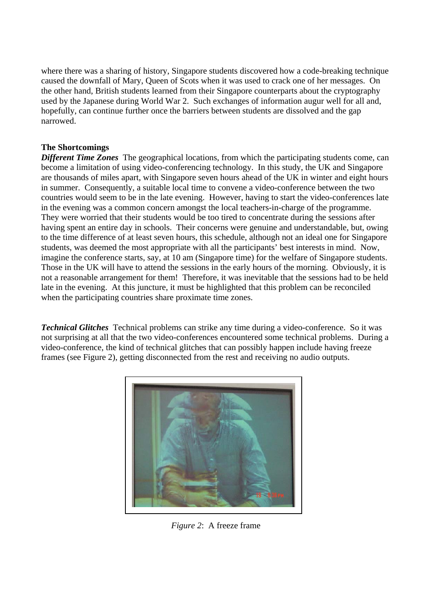where there was a sharing of history, Singapore students discovered how a code-breaking technique caused the downfall of Mary, Queen of Scots when it was used to crack one of her messages. On the other hand, British students learned from their Singapore counterparts about the cryptography used by the Japanese during World War 2. Such exchanges of information augur well for all and, hopefully, can continue further once the barriers between students are dissolved and the gap narrowed.

#### **The Shortcomings**

*Different Time Zones* The geographical locations, from which the participating students come, can become a limitation of using video-conferencing technology. In this study, the UK and Singapore are thousands of miles apart, with Singapore seven hours ahead of the UK in winter and eight hours in summer. Consequently, a suitable local time to convene a video-conference between the two countries would seem to be in the late evening. However, having to start the video-conferences late in the evening was a common concern amongst the local teachers-in-charge of the programme. They were worried that their students would be too tired to concentrate during the sessions after having spent an entire day in schools. Their concerns were genuine and understandable, but, owing to the time difference of at least seven hours, this schedule, although not an ideal one for Singapore students, was deemed the most appropriate with all the participants' best interests in mind. Now, imagine the conference starts, say, at 10 am (Singapore time) for the welfare of Singapore students. Those in the UK will have to attend the sessions in the early hours of the morning. Obviously, it is not a reasonable arrangement for them! Therefore, it was inevitable that the sessions had to be held late in the evening. At this juncture, it must be highlighted that this problem can be reconciled when the participating countries share proximate time zones.

*Technical Glitches* Technical problems can strike any time during a video-conference. So it was not surprising at all that the two video-conferences encountered some technical problems. During a video-conference, the kind of technical glitches that can possibly happen include having freeze frames (see Figure 2), getting disconnected from the rest and receiving no audio outputs.



*Figure 2*: A freeze frame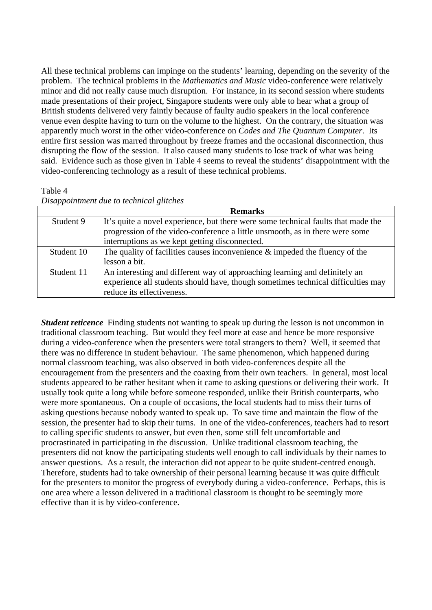All these technical problems can impinge on the students' learning, depending on the severity of the problem. The technical problems in the *Mathematics and Music* video-conference were relatively minor and did not really cause much disruption. For instance, in its second session where students made presentations of their project, Singapore students were only able to hear what a group of British students delivered very faintly because of faulty audio speakers in the local conference venue even despite having to turn on the volume to the highest. On the contrary, the situation was apparently much worst in the other video-conference on *Codes and The Quantum Computer*. Its entire first session was marred throughout by freeze frames and the occasional disconnection, thus disrupting the flow of the session. It also caused many students to lose track of what was being said. Evidence such as those given in Table 4 seems to reveal the students' disappointment with the video-conferencing technology as a result of these technical problems.

#### Table 4

| Disappointment due to technical glitches |  |  |
|------------------------------------------|--|--|
|                                          |  |  |

|            | <b>Remarks</b>                                                                    |
|------------|-----------------------------------------------------------------------------------|
| Student 9  | It's quite a novel experience, but there were some technical faults that made the |
|            | progression of the video-conference a little unsmooth, as in there were some      |
|            | interruptions as we kept getting disconnected.                                    |
| Student 10 | The quality of facilities causes inconvenience $\&$ impeded the fluency of the    |
|            | lesson a bit.                                                                     |
| Student 11 | An interesting and different way of approaching learning and definitely an        |
|            | experience all students should have, though sometimes technical difficulties may  |
|            | reduce its effectiveness.                                                         |

*Student reticence* Finding students not wanting to speak up during the lesson is not uncommon in traditional classroom teaching. But would they feel more at ease and hence be more responsive during a video-conference when the presenters were total strangers to them? Well, it seemed that there was no difference in student behaviour. The same phenomenon, which happened during normal classroom teaching, was also observed in both video-conferences despite all the encouragement from the presenters and the coaxing from their own teachers. In general, most local students appeared to be rather hesitant when it came to asking questions or delivering their work. It usually took quite a long while before someone responded, unlike their British counterparts, who were more spontaneous. On a couple of occasions, the local students had to miss their turns of asking questions because nobody wanted to speak up. To save time and maintain the flow of the session, the presenter had to skip their turns. In one of the video-conferences, teachers had to resort to calling specific students to answer, but even then, some still felt uncomfortable and procrastinated in participating in the discussion. Unlike traditional classroom teaching, the presenters did not know the participating students well enough to call individuals by their names to answer questions. As a result, the interaction did not appear to be quite student-centred enough. Therefore, students had to take ownership of their personal learning because it was quite difficult for the presenters to monitor the progress of everybody during a video-conference. Perhaps, this is one area where a lesson delivered in a traditional classroom is thought to be seemingly more effective than it is by video-conference.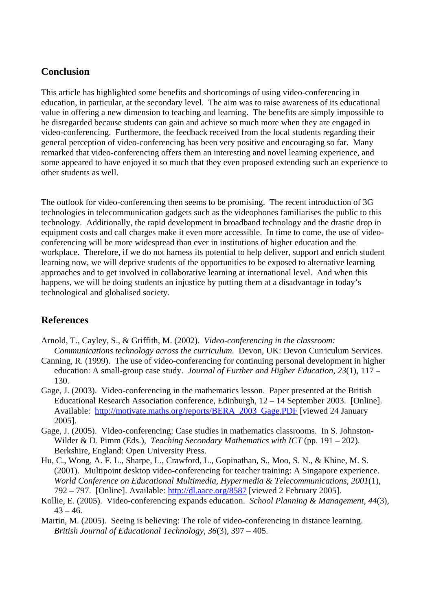## **Conclusion**

This article has highlighted some benefits and shortcomings of using video-conferencing in education, in particular, at the secondary level. The aim was to raise awareness of its educational value in offering a new dimension to teaching and learning. The benefits are simply impossible to be disregarded because students can gain and achieve so much more when they are engaged in video-conferencing. Furthermore, the feedback received from the local students regarding their general perception of video-conferencing has been very positive and encouraging so far. Many remarked that video-conferencing offers them an interesting and novel learning experience, and some appeared to have enjoyed it so much that they even proposed extending such an experience to other students as well.

The outlook for video-conferencing then seems to be promising. The recent introduction of 3G technologies in telecommunication gadgets such as the videophones familiarises the public to this technology. Additionally, the rapid development in broadband technology and the drastic drop in equipment costs and call charges make it even more accessible. In time to come, the use of videoconferencing will be more widespread than ever in institutions of higher education and the workplace. Therefore, if we do not harness its potential to help deliver, support and enrich student learning now, we will deprive students of the opportunities to be exposed to alternative learning approaches and to get involved in collaborative learning at international level. And when this happens, we will be doing students an injustice by putting them at a disadvantage in today's technological and globalised society.

# **References**

- Arnold, T., Cayley, S., & Griffith, M. (2002). *Video-conferencing in the classroom: Communications technology across the curriculum.* Devon, UK: Devon Curriculum Services.
- Canning, R. (1999). The use of video-conferencing for continuing personal development in higher education: A small-group case study. *Journal of Further and Higher Education*, *23*(1), 117 – 130.
- Gage, J. (2003). Video-conferencing in the mathematics lesson. Paper presented at the British Educational Research Association conference, Edinburgh, 12 – 14 September 2003. [Online]. Available: http://motivate.maths.org/reports/BERA\_2003\_Gage.PDF [viewed 24 January 2005].
- Gage, J. (2005). Video-conferencing: Case studies in mathematics classrooms. In S. Johnston-Wilder & D. Pimm (Eds.), *Teaching Secondary Mathematics with ICT* (pp. 191 – 202). Berkshire, England: Open University Press.
- Hu, C., Wong, A. F. L., Sharpe, L., Crawford, L., Gopinathan, S., Moo, S. N., & Khine, M. S. (2001). Multipoint desktop video-conferencing for teacher training: A Singapore experience. *World Conference on Educational Multimedia, Hypermedia & Telecommunications*, *2001*(1), 792 – 797. [Online]. Available: http://dl.aace.org/8587 [viewed 2 February 2005].
- Kollie, E. (2005). Video-conferencing expands education. *School Planning & Management*, *44*(3),  $43 - 46.$
- Martin, M. (2005). Seeing is believing: The role of video-conferencing in distance learning. *British Journal of Educational Technology*, *36*(3), 397 – 405.